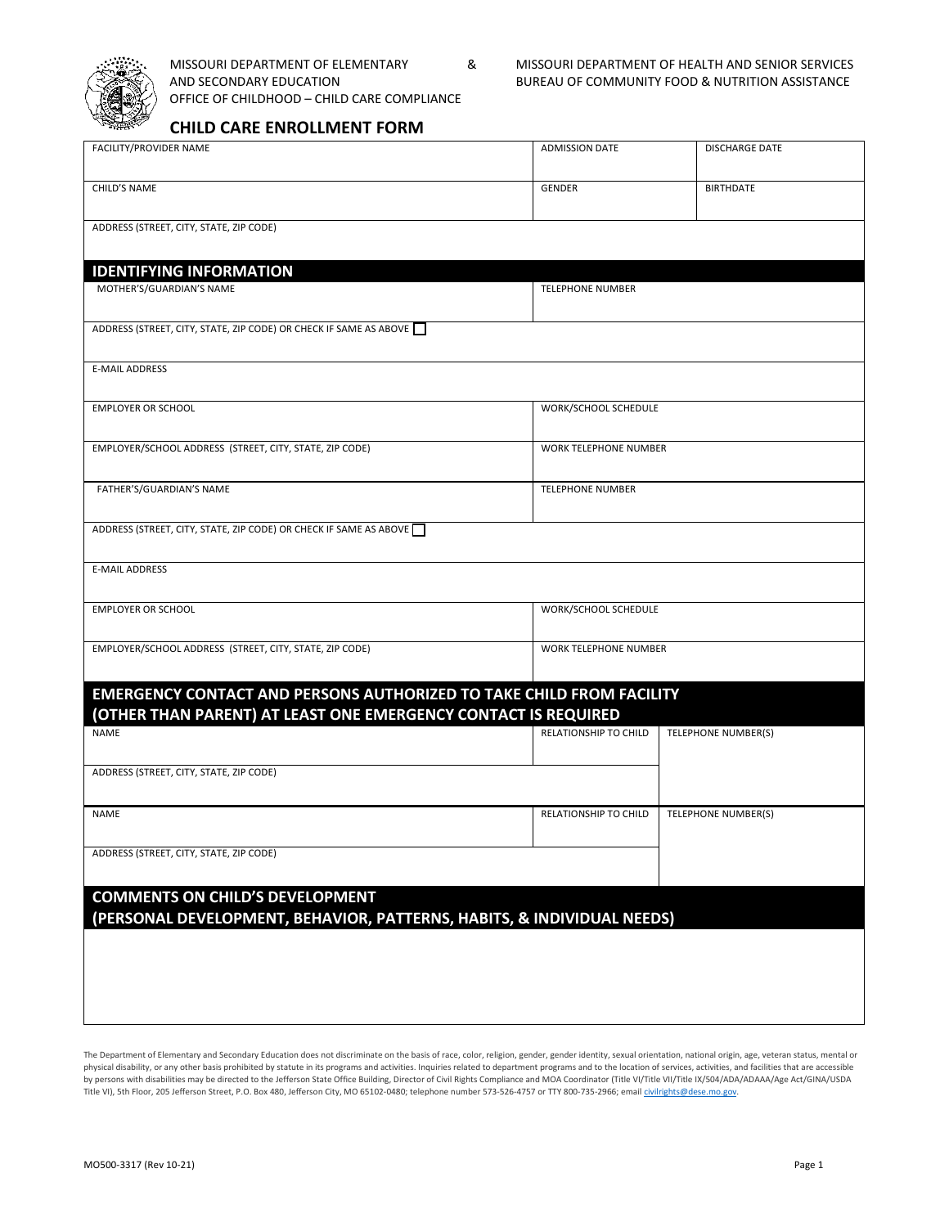

OFFICE OF CHILDHOOD – CHILD CARE COMPLIANCE

MISSOURI DEPARTMENT OF ELEMENTARY & MISSOURI DEPARTMENT OF HEALTH AND SENIOR SERVICES AND SECONDARY EDUCATION BUREAU OF COMMUNITY FOOD & NUTRITION ASSISTANCE

## **CHILD CARE ENROLLMENT FORM**

| FACILITY/PROVIDER NAME                                                                                                                        | <b>ADMISSION DATE</b>   | <b>DISCHARGE DATE</b> |  |  |  |  |
|-----------------------------------------------------------------------------------------------------------------------------------------------|-------------------------|-----------------------|--|--|--|--|
| CHILD'S NAME                                                                                                                                  | <b>GENDER</b>           | <b>BIRTHDATE</b>      |  |  |  |  |
| ADDRESS (STREET, CITY, STATE, ZIP CODE)                                                                                                       |                         |                       |  |  |  |  |
| <b>IDENTIFYING INFORMATION</b>                                                                                                                |                         |                       |  |  |  |  |
| MOTHER'S/GUARDIAN'S NAME                                                                                                                      | <b>TELEPHONE NUMBER</b> |                       |  |  |  |  |
| ADDRESS (STREET, CITY, STATE, ZIP CODE) OR CHECK IF SAME AS ABOVE                                                                             |                         |                       |  |  |  |  |
| <b>E-MAIL ADDRESS</b>                                                                                                                         |                         |                       |  |  |  |  |
| <b>EMPLOYER OR SCHOOL</b>                                                                                                                     | WORK/SCHOOL SCHEDULE    |                       |  |  |  |  |
| EMPLOYER/SCHOOL ADDRESS (STREET, CITY, STATE, ZIP CODE)                                                                                       | WORK TELEPHONE NUMBER   |                       |  |  |  |  |
| FATHER'S/GUARDIAN'S NAME                                                                                                                      | <b>TELEPHONE NUMBER</b> |                       |  |  |  |  |
| ADDRESS (STREET, CITY, STATE, ZIP CODE) OR CHECK IF SAME AS ABOVE                                                                             |                         |                       |  |  |  |  |
| <b>E-MAIL ADDRESS</b>                                                                                                                         |                         |                       |  |  |  |  |
| <b>EMPLOYER OR SCHOOL</b>                                                                                                                     | WORK/SCHOOL SCHEDULE    |                       |  |  |  |  |
| EMPLOYER/SCHOOL ADDRESS (STREET, CITY, STATE, ZIP CODE)                                                                                       | WORK TELEPHONE NUMBER   |                       |  |  |  |  |
| <b>EMERGENCY CONTACT AND PERSONS AUTHORIZED TO TAKE CHILD FROM FACILITY</b><br>(OTHER THAN PARENT) AT LEAST ONE EMERGENCY CONTACT IS REQUIRED |                         |                       |  |  |  |  |
| NAME                                                                                                                                          | RELATIONSHIP TO CHILD   | TELEPHONE NUMBER(S)   |  |  |  |  |
| ADDRESS (STREET, CITY, STATE, ZIP CODE)                                                                                                       |                         |                       |  |  |  |  |
| NAME                                                                                                                                          | RELATIONSHIP TO CHILD   | TELEPHONE NUMBER(S)   |  |  |  |  |
| ADDRESS (STREET, CITY, STATE, ZIP CODE)                                                                                                       |                         |                       |  |  |  |  |
| <b>COMMENTS ON CHILD'S DEVELOPMENT</b><br>(PERSONAL DEVELOPMENT, BEHAVIOR, PATTERNS, HABITS, & INDIVIDUAL NEEDS)                              |                         |                       |  |  |  |  |
|                                                                                                                                               |                         |                       |  |  |  |  |
|                                                                                                                                               |                         |                       |  |  |  |  |
|                                                                                                                                               |                         |                       |  |  |  |  |

The Department of Elementary and Secondary Education does not discriminate on the basis of race, color, religion, gender, gender identity, sexual orientation, national origin, age, veteran status, mental or physical disability, or any other basis prohibited by statute in its programs and activities. Inquiries related to department programs and to the location of services, activities, and facilities that are accessible by persons with disabilities may be directed to the Jefferson State Office Building, Director of Civil Rights Compliance and MOA Coordinator (Title VI/Title VII/Title IX/504/ADA/ADAAA/Age Act/GINA/USDA Title VI), 5th Floor, 205 Jefferson Street, P.O. Box 480, Jefferson City, MO 65102-0480; telephone number 573-526-4757 or TTY 800-735-2966; email [civilrights@dese.mo.gov.](mailto:civilrights@dese.mo.gov)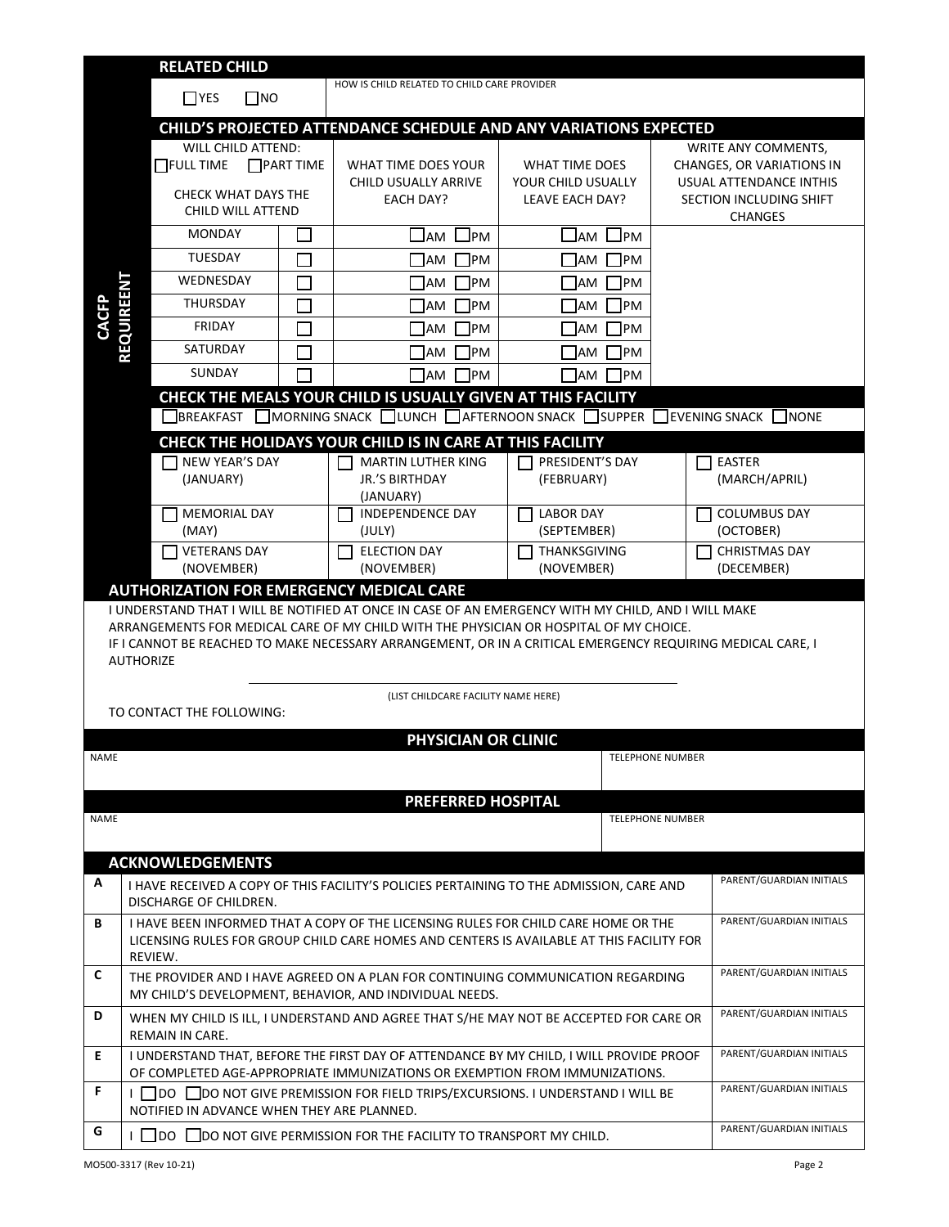|                                                                                                                                                                                                                                                                 | <b>RELATED CHILD</b>                                                                                                                                                                      |                                                                                                                                     |                                                                                                     |                                                         |                          |                                                                                                        |  |
|-----------------------------------------------------------------------------------------------------------------------------------------------------------------------------------------------------------------------------------------------------------------|-------------------------------------------------------------------------------------------------------------------------------------------------------------------------------------------|-------------------------------------------------------------------------------------------------------------------------------------|-----------------------------------------------------------------------------------------------------|---------------------------------------------------------|--------------------------|--------------------------------------------------------------------------------------------------------|--|
|                                                                                                                                                                                                                                                                 | $\square$ NO<br>$\Box$ YES                                                                                                                                                                |                                                                                                                                     | HOW IS CHILD RELATED TO CHILD CARE PROVIDER                                                         |                                                         |                          |                                                                                                        |  |
|                                                                                                                                                                                                                                                                 | CHILD'S PROJECTED ATTENDANCE SCHEDULE AND ANY VARIATIONS EXPECTED                                                                                                                         |                                                                                                                                     |                                                                                                     |                                                         |                          |                                                                                                        |  |
|                                                                                                                                                                                                                                                                 | <b>WILL CHILD ATTEND:</b><br>$\Box$ FULL TIME<br>CHECK WHAT DAYS THE<br>CHILD WILL ATTEND                                                                                                 | <b>PART TIME</b>                                                                                                                    | WHAT TIME DOES YOUR<br>CHILD USUALLY ARRIVE<br><b>EACH DAY?</b>                                     | WHAT TIME DOES<br>YOUR CHILD USUALLY<br>LEAVE EACH DAY? |                          | WRITE ANY COMMENTS,<br>CHANGES, OR VARIATIONS IN<br>USUAL ATTENDANCE INTHIS<br>SECTION INCLUDING SHIFT |  |
|                                                                                                                                                                                                                                                                 |                                                                                                                                                                                           |                                                                                                                                     |                                                                                                     |                                                         |                          | <b>CHANGES</b>                                                                                         |  |
|                                                                                                                                                                                                                                                                 | <b>MONDAY</b>                                                                                                                                                                             |                                                                                                                                     | $\Box$ AM<br>JPM                                                                                    | JPM<br>$\Box$ AM                                        |                          |                                                                                                        |  |
|                                                                                                                                                                                                                                                                 | <b>TUESDAY</b>                                                                                                                                                                            |                                                                                                                                     | ТРМ<br>  AM                                                                                         | 1PM<br><b>JAM</b>                                       |                          |                                                                                                        |  |
|                                                                                                                                                                                                                                                                 | WEDNESDAY                                                                                                                                                                                 | $\mathcal{L}$                                                                                                                       | <b>AM</b><br><b>IPM</b>                                                                             | 1PM<br><b>JAM</b>                                       |                          |                                                                                                        |  |
| <b>CACFP</b>                                                                                                                                                                                                                                                    | <b>REQUIREENT</b><br><b>THURSDAY</b>                                                                                                                                                      |                                                                                                                                     | <b>IPM</b><br><b>JAM</b>                                                                            | PM<br><b>JAM</b>                                        |                          |                                                                                                        |  |
|                                                                                                                                                                                                                                                                 | <b>FRIDAY</b>                                                                                                                                                                             |                                                                                                                                     | 1PM<br><b>AM</b>                                                                                    | 1PM<br><b>JAM</b>                                       |                          |                                                                                                        |  |
|                                                                                                                                                                                                                                                                 | SATURDAY                                                                                                                                                                                  |                                                                                                                                     | <b>IPM</b><br>AM                                                                                    | PM<br>IAM                                               |                          |                                                                                                        |  |
|                                                                                                                                                                                                                                                                 | <b>SUNDAY</b>                                                                                                                                                                             |                                                                                                                                     | $\Box$ AM<br><b>TPM</b>                                                                             | 1PM<br><b>JAM</b>                                       |                          |                                                                                                        |  |
|                                                                                                                                                                                                                                                                 |                                                                                                                                                                                           |                                                                                                                                     | CHECK THE MEALS YOUR CHILD IS USUALLY GIVEN AT THIS FACILITY                                        |                                                         |                          |                                                                                                        |  |
|                                                                                                                                                                                                                                                                 |                                                                                                                                                                                           |                                                                                                                                     | $\Box$ BREAKFAST $\Box$ MORNING SNACK $\Box$ LUNCH $\Box$ AFTERNOON SNACK $\Box$ SUPPER $\Box$      |                                                         |                          | $\Box$ EVENING SNACK $\Box$ NONE                                                                       |  |
|                                                                                                                                                                                                                                                                 |                                                                                                                                                                                           |                                                                                                                                     | CHECK THE HOLIDAYS YOUR CHILD IS IN CARE AT THIS FACILITY                                           |                                                         |                          |                                                                                                        |  |
|                                                                                                                                                                                                                                                                 | NEW YEAR'S DAY<br>(JANUARY)                                                                                                                                                               |                                                                                                                                     | <b>MARTIN LUTHER KING</b><br><b>JR.'S BIRTHDAY</b><br>(JANUARY)                                     | PRESIDENT'S DAY<br>(FEBRUARY)                           |                          | <b>EASTER</b><br>(MARCH/APRIL)                                                                         |  |
|                                                                                                                                                                                                                                                                 | MEMORIAL DAY                                                                                                                                                                              |                                                                                                                                     | <b>INDEPENDENCE DAY</b>                                                                             | <b>LABOR DAY</b>                                        |                          | <b>COLUMBUS DAY</b>                                                                                    |  |
|                                                                                                                                                                                                                                                                 | (MAY)                                                                                                                                                                                     |                                                                                                                                     | (JULY)                                                                                              | (SEPTEMBER)                                             |                          | (OCTOBER)                                                                                              |  |
|                                                                                                                                                                                                                                                                 | <b>VETERANS DAY</b>                                                                                                                                                                       |                                                                                                                                     | <b>ELECTION DAY</b>                                                                                 | THANKSGIVING                                            | $\blacksquare$           | <b>CHRISTMAS DAY</b>                                                                                   |  |
|                                                                                                                                                                                                                                                                 | (NOVEMBER)<br><b>AUTHORIZATION FOR EMERGENCY MEDICAL CARE</b>                                                                                                                             |                                                                                                                                     | (NOVEMBER)                                                                                          | (NOVEMBER)                                              |                          | (DECEMBER)                                                                                             |  |
|                                                                                                                                                                                                                                                                 |                                                                                                                                                                                           |                                                                                                                                     | I UNDERSTAND THAT I WILL BE NOTIFIED AT ONCE IN CASE OF AN EMERGENCY WITH MY CHILD, AND I WILL MAKE |                                                         |                          |                                                                                                        |  |
| ARRANGEMENTS FOR MEDICAL CARE OF MY CHILD WITH THE PHYSICIAN OR HOSPITAL OF MY CHOICE.<br>IF I CANNOT BE REACHED TO MAKE NECESSARY ARRANGEMENT, OR IN A CRITICAL EMERGENCY REQUIRING MEDICAL CARE, I<br><b>AUTHORIZE</b><br>(LIST CHILDCARE FACILITY NAME HERE) |                                                                                                                                                                                           |                                                                                                                                     |                                                                                                     |                                                         |                          |                                                                                                        |  |
|                                                                                                                                                                                                                                                                 | TO CONTACT THE FOLLOWING:                                                                                                                                                                 |                                                                                                                                     |                                                                                                     |                                                         |                          |                                                                                                        |  |
| NAME                                                                                                                                                                                                                                                            | PHYSICIAN OR CLINIC<br><b>TELEPHONE NUMBER</b>                                                                                                                                            |                                                                                                                                     |                                                                                                     |                                                         |                          |                                                                                                        |  |
|                                                                                                                                                                                                                                                                 |                                                                                                                                                                                           |                                                                                                                                     | <b>PREFERRED HOSPITAL</b>                                                                           |                                                         |                          |                                                                                                        |  |
| NAME                                                                                                                                                                                                                                                            |                                                                                                                                                                                           |                                                                                                                                     |                                                                                                     |                                                         | <b>TELEPHONE NUMBER</b>  |                                                                                                        |  |
|                                                                                                                                                                                                                                                                 | <b>ACKNOWLEDGEMENTS</b>                                                                                                                                                                   |                                                                                                                                     |                                                                                                     |                                                         |                          |                                                                                                        |  |
| A                                                                                                                                                                                                                                                               | DISCHARGE OF CHILDREN.                                                                                                                                                                    |                                                                                                                                     | I HAVE RECEIVED A COPY OF THIS FACILITY'S POLICIES PERTAINING TO THE ADMISSION, CARE AND            |                                                         |                          | PARENT/GUARDIAN INITIALS                                                                               |  |
| В                                                                                                                                                                                                                                                               | I HAVE BEEN INFORMED THAT A COPY OF THE LICENSING RULES FOR CHILD CARE HOME OR THE<br>LICENSING RULES FOR GROUP CHILD CARE HOMES AND CENTERS IS AVAILABLE AT THIS FACILITY FOR<br>REVIEW. |                                                                                                                                     |                                                                                                     |                                                         |                          | PARENT/GUARDIAN INITIALS                                                                               |  |
| C                                                                                                                                                                                                                                                               | THE PROVIDER AND I HAVE AGREED ON A PLAN FOR CONTINUING COMMUNICATION REGARDING<br>MY CHILD'S DEVELOPMENT, BEHAVIOR, AND INDIVIDUAL NEEDS.                                                |                                                                                                                                     |                                                                                                     |                                                         | PARENT/GUARDIAN INITIALS |                                                                                                        |  |
| D                                                                                                                                                                                                                                                               | WHEN MY CHILD IS ILL, I UNDERSTAND AND AGREE THAT S/HE MAY NOT BE ACCEPTED FOR CARE OR<br><b>REMAIN IN CARE.</b>                                                                          |                                                                                                                                     |                                                                                                     |                                                         |                          | PARENT/GUARDIAN INITIALS                                                                               |  |
| E                                                                                                                                                                                                                                                               | I UNDERSTAND THAT, BEFORE THE FIRST DAY OF ATTENDANCE BY MY CHILD, I WILL PROVIDE PROOF<br>OF COMPLETED AGE-APPROPRIATE IMMUNIZATIONS OR EXEMPTION FROM IMMUNIZATIONS.                    |                                                                                                                                     |                                                                                                     |                                                         |                          | PARENT/GUARDIAN INITIALS                                                                               |  |
| F.                                                                                                                                                                                                                                                              |                                                                                                                                                                                           | <b>Ⅰ OO OD NOT GIVE PREMISSION FOR FIELD TRIPS/EXCURSIONS. I UNDERSTAND I WILL BE</b><br>NOTIFIED IN ADVANCE WHEN THEY ARE PLANNED. |                                                                                                     |                                                         |                          | PARENT/GUARDIAN INITIALS                                                                               |  |
| G                                                                                                                                                                                                                                                               | PARENT/GUARDIAN INITIALS<br><b>Ⅰ □ DO □ DO NOT GIVE PERMISSION FOR THE FACILITY TO TRANSPORT MY CHILD.</b>                                                                                |                                                                                                                                     |                                                                                                     |                                                         |                          |                                                                                                        |  |
|                                                                                                                                                                                                                                                                 | MO500-3317 (Rev 10-21)                                                                                                                                                                    |                                                                                                                                     |                                                                                                     |                                                         |                          | Page 2                                                                                                 |  |